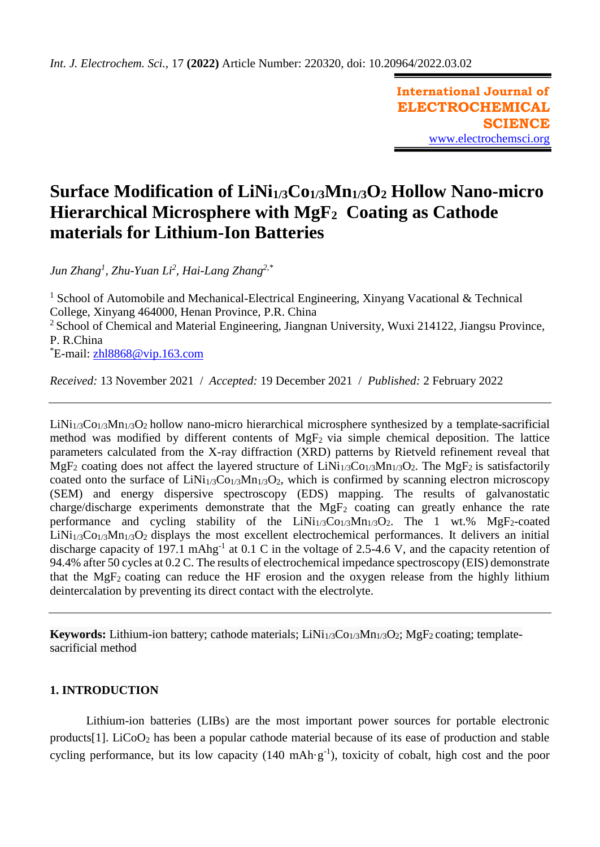**International Journal of ELECTROCHEMICAL SCIENCE** [www.electrochemsci.org](http://www.electrochemsci.org/)

# **Surface Modification of LiNi1/3Co1/3Mn1/3O<sup>2</sup> Hollow Nano-micro Hierarchical Microsphere with MgF2 Coating as Cathode materials for Lithium-Ion Batteries**

*Jun Zhang<sup>1</sup> , Zhu-Yuan Li<sup>2</sup> , Hai-Lang Zhang2,\** 

<sup>1</sup> School of Automobile and Mechanical-Electrical Engineering, Xinyang Vacational & Technical College, Xinyang 464000, Henan Province, P.R. China <sup>2</sup> School of Chemical and Material Engineering, Jiangnan University, Wuxi 214122, Jiangsu Province, P. R.China  $E$ -mail: zhl $8868@$  vip.163.com

*Received:* 13 November 2021/ *Accepted:* 19 December 2021 / *Published:* 2 February 2022

 $LiNi<sub>1/3</sub>Co<sub>1/3</sub>Mn<sub>1/3</sub>O<sub>2</sub>$  hollow nano-micro hierarchical microsphere synthesized by a template-sacrificial method was modified by different contents of MgF2 via simple chemical deposition. The lattice parameters calculated from the X-ray diffraction (XRD) patterns by Rietveld refinement reveal that MgF<sub>2</sub> coating does not affect the layered structure of  $LiNi<sub>1/3</sub>Co<sub>1/3</sub>Mn<sub>1/3</sub>O<sub>2</sub>$ . The MgF<sub>2</sub> is satisfactorily coated onto the surface of  $LiNi<sub>1/3</sub>Co<sub>1/3</sub>Mn<sub>1/3</sub>O<sub>2</sub>$ , which is confirmed by scanning electron microscopy (SEM) and energy dispersive spectroscopy (EDS) mapping. The results of galvanostatic charge/discharge experiments demonstrate that the  $MgF_2$  coating can greatly enhance the rate performance and cycling stability of the  $LiNi<sub>1/3</sub>Co<sub>1/3</sub>Mn<sub>1/3</sub>O<sub>2</sub>$ . The 1 wt.% MgF<sub>2</sub>-coated  $LiNi<sub>1/3</sub>Co<sub>1/3</sub>Mn<sub>1/3</sub>O<sub>2</sub>$  displays the most excellent electrochemical performances. It delivers an initial discharge capacity of 197.1 mAhg<sup>-1</sup> at 0.1 C in the voltage of 2.5-4.6 V, and the capacity retention of 94.4% after 50 cycles at 0.2 C. The results of electrochemical impedance spectroscopy (EIS) demonstrate that the MgF<sub>2</sub> coating can reduce the HF erosion and the oxygen release from the highly lithium deintercalation by preventing its direct contact with the electrolyte.

**Keywords:** Lithium-ion battery; cathode materials; LiNi<sub>1/3</sub>Co<sub>1/3</sub>Mn<sub>1/3</sub>O<sub>2</sub>; MgF<sub>2</sub> coating; templatesacrificial method

# **1. INTRODUCTION**

Lithium-ion batteries (LIBs) are the most important power sources for portable electronic products<sup>[1]</sup>. LiCoO<sub>2</sub> has been a popular cathode material because of its ease of production and stable cycling performance, but its low capacity  $(140 \text{ mA} \cdot \text{g}^{-1})$ , toxicity of cobalt, high cost and the poor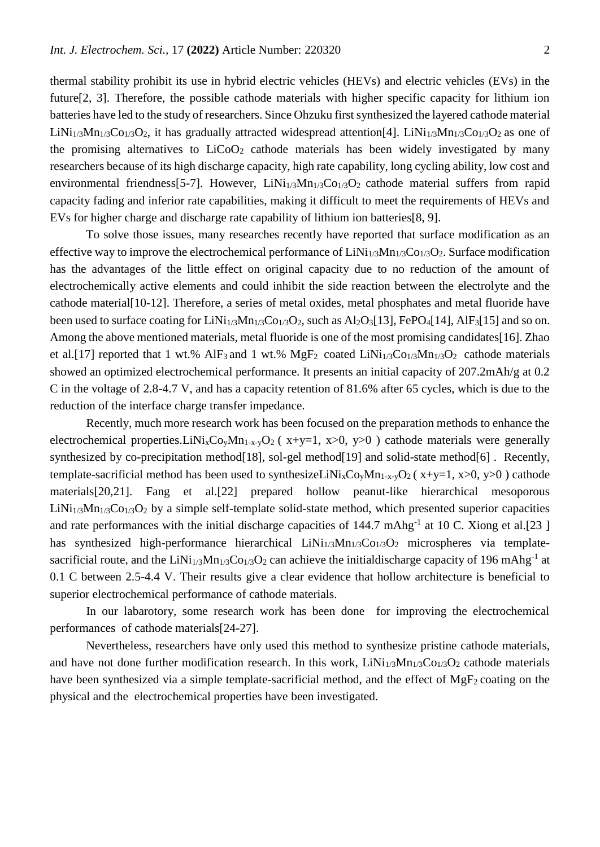thermal stability prohibit its use in hybrid electric vehicles (HEVs) and electric vehicles (EVs) in the future[2, 3]. Therefore, the possible cathode materials with higher specific capacity for lithium ion batteries have led to the study of researchers. Since Ohzuku first synthesized the layered cathode material LiNi<sub>1/3</sub>Mn<sub>1/3</sub>Co<sub>1/3</sub>O<sub>2</sub>, it has gradually attracted widespread attention<sup>[4]</sup>. LiNi<sub>1/3</sub>Mn<sub>1/3</sub>Co<sub>1/3</sub>O<sub>2</sub> as one of the promising alternatives to  $LiCoO<sub>2</sub>$  cathode materials has been widely investigated by many researchers because of its high discharge capacity, high rate capability, long cycling ability, low cost and environmental friendness[5-7]. However,  $LiNi<sub>1/3</sub>Mn<sub>1/3</sub>Co<sub>1/3</sub>O<sub>2</sub>$  cathode material suffers from rapid capacity fading and inferior rate capabilities, making it difficult to meet the requirements of HEVs and EVs for higher charge and discharge rate capability of lithium ion batteries[8, 9].

To solve those issues, many researches recently have reported that surface modification as an effective way to improve the electrochemical performance of  $LiNi<sub>1/3</sub>Mn<sub>1/3</sub>Co<sub>1/3</sub>O<sub>2</sub>$ . Surface modification has the advantages of the little effect on original capacity due to no reduction of the amount of electrochemically active elements and could inhibit the side reaction between the electrolyte and the cathode material[10-12]. Therefore, a series of metal oxides, metal phosphates and metal fluoride have been used to surface coating for LiNi<sub>1/3</sub>Mn<sub>1/3</sub>Co<sub>1/3</sub>O<sub>2</sub>, such as Al<sub>2</sub>O<sub>3</sub>[13], FePO<sub>4</sub>[14], AlF<sub>3</sub>[15] and so on. Among the above mentioned materials, metal fluoride is one of the most promising candidates[16]. Zhao et al. [17] reported that 1 wt.% AlF<sub>3</sub> and 1 wt.% MgF<sub>2</sub> coated LiNi<sub>1/3</sub>Co<sub>1/3</sub>Mn<sub>1/3</sub>O<sub>2</sub> cathode materials showed an optimized electrochemical performance. It presents an initial capacity of 207.2mAh/g at 0.2 C in the voltage of 2.8-4.7 V, and has a capacity retention of 81.6% after 65 cycles, which is due to the reduction of the interface charge transfer impedance.

Recently, much more research work has been focused on the preparation methods to enhance the electrochemical properties.LiNi<sub>x</sub>Co<sub>y</sub>Mn<sub>1-x-y</sub>O<sub>2</sub> ( $x+y=1$ ,  $x>0$ ,  $y>0$ ) cathode materials were generally synthesized by co-precipitation method<sup>[18]</sup>, sol-gel method<sup>[19]</sup> and solid-state method<sup>[6]</sup>. Recently, template-sacrificial method has been used to synthesizeLiNi<sub>x</sub>Co<sub>y</sub>Mn<sub>1-x-y</sub>O<sub>2</sub> (x+y=1, x>0, y>0) cathode materials[20,21]. Fang et al.[22] prepared hollow peanut-like hierarchical mesoporous  $LiNi<sub>1/3</sub>Mn<sub>1/3</sub>Co<sub>1/3</sub>O<sub>2</sub>$  by a simple self-template solid-state method, which presented superior capacities and rate performances with the initial discharge capacities of  $144.7 \text{ mAbg}^{-1}$  at 10 C. Xiong et al.[23] has synthesized high-performance hierarchical  $LiNi<sub>1/3</sub>Mn<sub>1/3</sub>Co<sub>1/3</sub>O<sub>2</sub>$  microspheres via templatesacrificial route, and the LiNi<sub>1/3</sub>Mn<sub>1/3</sub>Co<sub>1/3</sub>O<sub>2</sub> can achieve the initialdischarge capacity of 196 mAhg<sup>-1</sup> at 0.1 C between 2.5-4.4 V. Their results give a clear evidence that hollow architecture is beneficial to superior electrochemical performance of cathode materials.

In our labarotory, some research work has been done for improving the electrochemical performances of cathode materials[24-27].

Nevertheless, researchers have only used this method to synthesize pristine cathode materials, and have not done further modification research. In this work,  $LiNi<sub>1/3</sub>Mn<sub>1/3</sub>Co<sub>1/3</sub>O<sub>2</sub>$  cathode materials have been synthesized via a simple template-sacrificial method, and the effect of MgF<sub>2</sub> coating on the physical and the electrochemical properties have been investigated.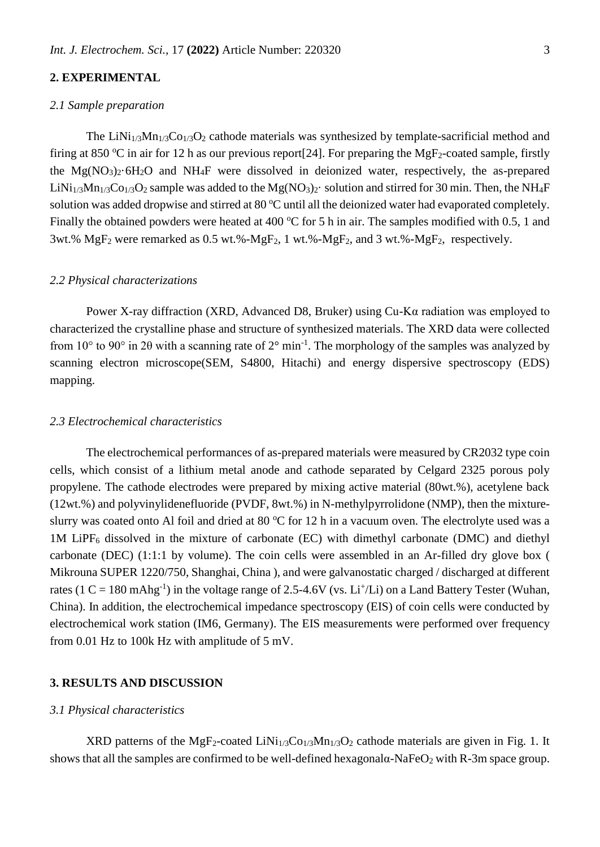# **2. EXPERIMENTAL**

#### *2.1 Sample preparation*

The LiNi<sub>1/3</sub>Mn<sub>1/3</sub>Co<sub>1/3</sub>O<sub>2</sub> cathode materials was synthesized by template-sacrificial method and firing at 850 °C in air for 12 h as our previous report [24]. For preparing the MgF<sub>2</sub>-coated sample, firstly the  $Mg(NO_3)_2.6H_2O$  and NH<sub>4</sub>F were dissolved in deionized water, respectively, the as-prepared LiNi<sub>1/3</sub>Mn<sub>1/3</sub>Co<sub>1/3</sub>O<sub>2</sub> sample was added to the Mg(NO<sub>3</sub>)<sub>2</sub>· solution and stirred for 30 min. Then, the NH<sub>4</sub>F solution was added dropwise and stirred at 80  $^{\circ}$ C until all the deionized water had evaporated completely. Finally the obtained powders were heated at 400  $^{\circ}$ C for 5 h in air. The samples modified with 0.5, 1 and 3wt.%  $MgF_2$  were remarked as 0.5 wt.%- $MgF_2$ , 1 wt.%- $MgF_2$ , and 3 wt.%- $MgF_2$ , respectively.

### *2.2 Physical characterizations*

Power X-ray diffraction (XRD, Advanced D8, Bruker) using Cu-Kα radiation was employed to characterized the crystalline phase and structure of synthesized materials. The XRD data were collected from 10 $\degree$  to 90 $\degree$  in 20 with a scanning rate of 2 $\degree$  min<sup>-1</sup>. The morphology of the samples was analyzed by scanning electron microscope(SEM, S4800, Hitachi) and energy dispersive spectroscopy (EDS) mapping.

#### *2.3 Electrochemical characteristics*

The electrochemical performances of as-prepared materials were measured by CR2032 type coin cells, which consist of a lithium metal anode and cathode separated by Celgard 2325 porous poly propylene. The cathode electrodes were prepared by mixing active material (80wt.%), acetylene back (12wt.%) and polyvinylidenefluoride (PVDF, 8wt.%) in N-methylpyrrolidone (NMP), then the mixtureslurry was coated onto Al foil and dried at 80  $^{\circ}$ C for 12 h in a vacuum oven. The electrolyte used was a  $1M$  LiPF<sub>6</sub> dissolved in the mixture of carbonate (EC) with dimethyl carbonate (DMC) and diethyl carbonate (DEC) (1:1:1 by volume). The coin cells were assembled in an Ar-filled dry glove box ( Mikrouna SUPER 1220/750, Shanghai, China ), and were galvanostatic charged / discharged at different rates (1 C = 180 mAhg<sup>-1</sup>) in the voltage range of 2.5-4.6V (vs. Li<sup>+</sup>/Li) on a Land Battery Tester (Wuhan, China). In addition, the electrochemical impedance spectroscopy (EIS) of coin cells were conducted by electrochemical work station (IM6, Germany). The EIS measurements were performed over frequency from 0.01 Hz to 100k Hz with amplitude of 5 mV.

#### **3. RESULTS AND DISCUSSION**

#### *3.1 Physical characteristics*

XRD patterns of the MgF<sub>2</sub>-coated LiNi<sub>1/3</sub>Co<sub>1/3</sub>Mn<sub>1/3</sub>O<sub>2</sub> cathode materials are given in Fig. 1. It shows that all the samples are confirmed to be well-defined hexagonala-NaFe $O_2$  with R-3m space group.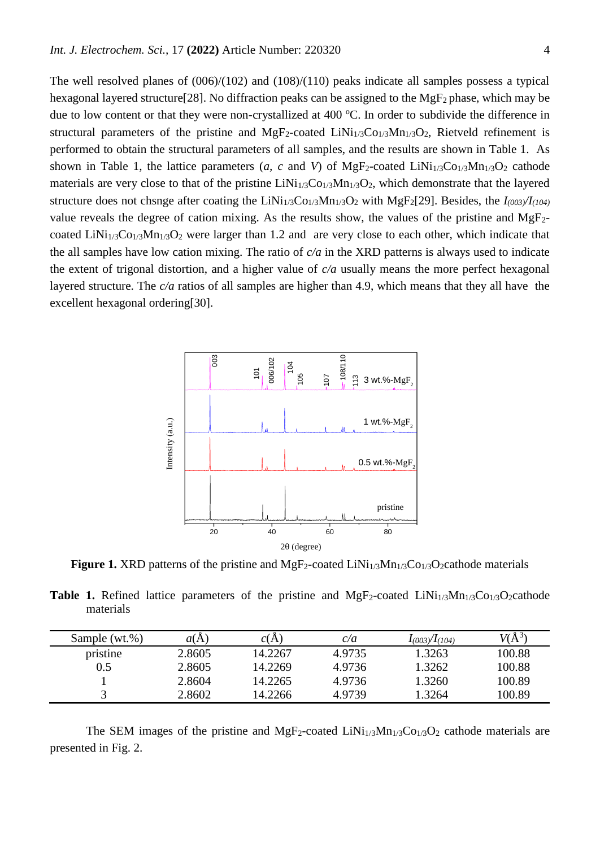The well resolved planes of (006)/(102) and (108)/(110) peaks indicate all samples possess a typical hexagonal layered structure [28]. No diffraction peaks can be assigned to the MgF<sub>2</sub> phase, which may be due to low content or that they were non-crystallized at  $400^{\circ}$ C. In order to subdivide the difference in structural parameters of the pristine and  $MgF_2$ -coated LiNi<sub>1/3</sub>Co<sub>1/3</sub>Mn<sub>1/3</sub>O<sub>2</sub>, Rietveld refinement is performed to obtain the structural parameters of all samples, and the results are shown in Table 1. As shown in Table 1, the lattice parameters  $(a, c \text{ and } V)$  of MgF<sub>2</sub>-coated LiNi<sub>1/3</sub>Co<sub>1/3</sub>Mn<sub>1/3</sub>O<sub>2</sub> cathode materials are very close to that of the pristine  $LiNi<sub>1/3</sub>Co<sub>1/3</sub>Mn<sub>1/3</sub>O<sub>2</sub>$ , which demonstrate that the layered structure does not chsnge after coating the LiNi1/3Co1/3Mn1/3O<sup>2</sup> with MgF2[29]. Besides, the *I(003)/I(104)* value reveals the degree of cation mixing. As the results show, the values of the pristine and  $MgF_2$ coated LiNi<sub>1/3</sub>Co<sub>1/3</sub>Mn<sub>1/3</sub>O<sub>2</sub> were larger than 1.2 and are very close to each other, which indicate that the all samples have low cation mixing. The ratio of *c/a* in the XRD patterns is always used to indicate the extent of trigonal distortion, and a higher value of *c/a* usually means the more perfect hexagonal layered structure. The *c/a* ratios of all samples are higher than 4.9, which means that they all have the excellent hexagonal ordering[30].



**Figure 1.** XRD patterns of the pristine and  $MgF_2$ -coated  $LiNi<sub>1/3</sub>Mn<sub>1/3</sub>Co<sub>1/3</sub>O<sub>2</sub> cathode materials$ 

**Table 1.** Refined lattice parameters of the pristine and  $MgF_2$ -coated  $LiNi<sub>1/3</sub>Mn<sub>1/3</sub>Co<sub>1/3</sub>O<sub>2</sub> cathode$ materials

| Sample (wt.%) | a(A    | C(A     | c/a    | $I_{(003)}/I_{(104)}$ | $V(\rm A^3)$ |
|---------------|--------|---------|--------|-----------------------|--------------|
| pristine      | 2.8605 | 14.2267 | 4.9735 | 1.3263                | 100.88       |
| 0.5           | 2.8605 | 14.2269 | 4.9736 | 1.3262                | 100.88       |
|               | 2.8604 | 14.2265 | 4.9736 | 1.3260                | 100.89       |
|               | 2.8602 | 14.2266 | 4.9739 | 1.3264                | 100.89       |

The SEM images of the pristine and  $MgF_2$ -coated LiNi<sub>1/3</sub>Mn<sub>1/3</sub>Co<sub>1/3</sub>O<sub>2</sub> cathode materials are presented in Fig. 2.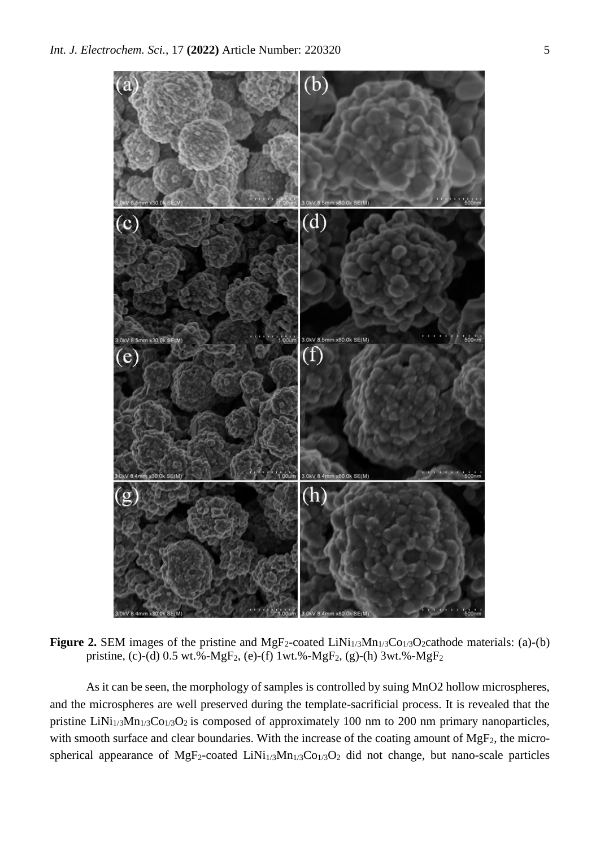

**Figure 2.** SEM images of the pristine and MgF<sub>2</sub>-coated LiNi<sub>1/3</sub>Mn<sub>1/3</sub>Co<sub>1/3</sub>O<sub>2</sub>cathode materials: (a)-(b) pristine, (c)-(d) 0.5 wt.%-MgF2, (e)-(f) 1wt.%-MgF2, (g)-(h) 3wt.%-MgF<sup>2</sup>

As it can be seen, the morphology of samples is controlled by suing MnO2 hollow microspheres, and the microspheres are well preserved during the template-sacrificial process. It is revealed that the pristine LiNi<sub>1/3</sub>Mn<sub>1/3</sub>Co<sub>1/3</sub>O<sub>2</sub> is composed of approximately 100 nm to 200 nm primary nanoparticles, with smooth surface and clear boundaries. With the increase of the coating amount of  $MgF_2$ , the microspherical appearance of MgF<sub>2</sub>-coated LiNi<sub>1/3</sub>Mn<sub>1/3</sub>Co<sub>1/3</sub>O<sub>2</sub> did not change, but nano-scale particles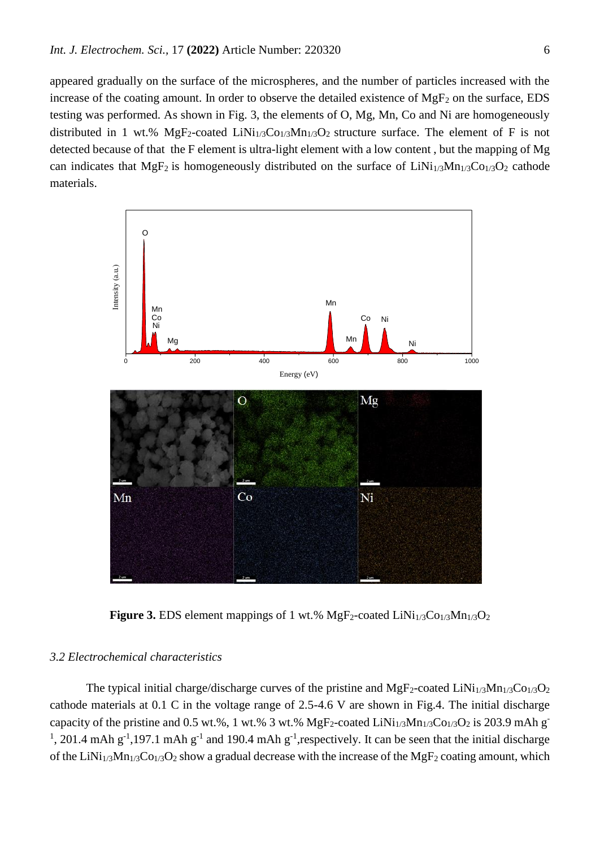appeared gradually on the surface of the microspheres, and the number of particles increased with the increase of the coating amount. In order to observe the detailed existence of  $MgF_2$  on the surface, EDS testing was performed. As shown in Fig. 3, the elements of O, Mg, Mn, Co and Ni are homogeneously distributed in 1 wt.%  $MgF_2$ -coated LiNi<sub>1/3</sub>Co<sub>1/3</sub>Mn<sub>1/3</sub>O<sub>2</sub> structure surface. The element of F is not detected because of that the F element is ultra-light element with a low content , but the mapping of Mg can indicates that MgF<sub>2</sub> is homogeneously distributed on the surface of  $LiNi<sub>1/3</sub>Mn<sub>1/3</sub>Co<sub>1/3</sub>O<sub>2</sub>$  cathode materials.



**Figure 3.** EDS element mappings of 1 wt.% MgF<sub>2</sub>-coated LiNi<sub>1/3</sub>Co<sub>1/3</sub>Mn<sub>1/3</sub>O<sub>2</sub>

## *3.2 Electrochemical characteristics*

The typical initial charge/discharge curves of the pristine and  $MgF_2$ -coated  $LiNi<sub>1/3</sub>Mn<sub>1/3</sub>Co<sub>1/3</sub>O<sub>2</sub>$ cathode materials at 0.1 C in the voltage range of 2.5-4.6 V are shown in Fig.4. The initial discharge capacity of the pristine and 0.5 wt.%, 1 wt.% 3 wt.% MgF<sub>2</sub>-coated LiNi<sub>1/3</sub>Mn<sub>1/3</sub>Co<sub>1/3</sub>O<sub>2</sub> is 203.9 mAh g<sup>-</sup> <sup>1</sup>, 201.4 mAh g<sup>-1</sup>,197.1 mAh g<sup>-1</sup> and 190.4 mAh g<sup>-1</sup>, respectively. It can be seen that the initial discharge of the LiNi<sub>1/3</sub>Mn<sub>1/3</sub>Co<sub>1/3</sub>O<sub>2</sub> show a gradual decrease with the increase of the MgF<sub>2</sub> coating amount, which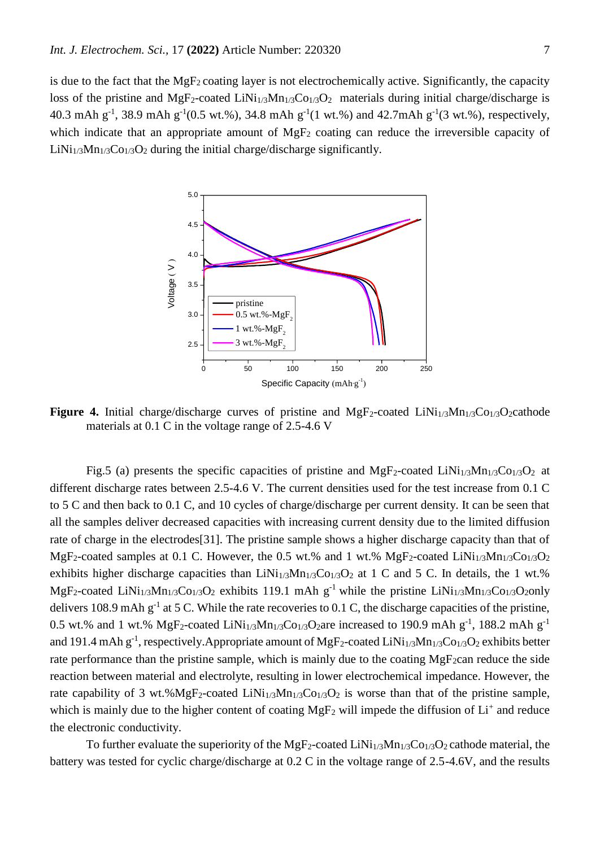is due to the fact that the MgF2 coating layer is not electrochemically active. Significantly, the capacity loss of the pristine and  $MgF_2$ -coated LiNi<sub>1/3</sub>Mn<sub>1/3</sub>Co<sub>1/3</sub>O<sub>2</sub> materials during initial charge/discharge is 40.3 mAh  $g^{-1}$ , 38.9 mAh  $g^{-1}(0.5 \text{ wt. %})$ , 34.8 mAh  $g^{-1}(1 \text{ wt. %})$  and 42.7mAh  $g^{-1}(3 \text{ wt. %})$ , respectively, which indicate that an appropriate amount of  $MgF_2$  coating can reduce the irreversible capacity of  $LiNi<sub>1/3</sub>Mn<sub>1/3</sub>Co<sub>1/3</sub>O<sub>2</sub>$  during the initial charge/discharge significantly.



Figure 4. Initial charge/discharge curves of pristine and MgF<sub>2</sub>-coated LiNi<sub>1/3</sub>Mn<sub>1/3</sub>Co<sub>1/3</sub>O<sub>2</sub>cathode materials at 0.1 C in the voltage range of 2.5-4.6 V

Fig.5 (a) presents the specific capacities of pristine and  $MgF_2$ -coated LiNi<sub>1/3</sub>Mn<sub>1/3</sub>Co<sub>1/3</sub>O<sub>2</sub> at different discharge rates between 2.5-4.6 V. The current densities used for the test increase from 0.1 C to 5 C and then back to 0.1 C, and 10 cycles of charge/discharge per current density. It can be seen that all the samples deliver decreased capacities with increasing current density due to the limited diffusion rate of charge in the electrodes[31]. The pristine sample shows a higher discharge capacity than that of MgF<sub>2</sub>-coated samples at 0.1 C. However, the 0.5 wt.% and 1 wt.% MgF<sub>2</sub>-coated LiNi<sub>1/3</sub>Mn<sub>1/3</sub>Co<sub>1/3</sub>O<sub>2</sub> exhibits higher discharge capacities than  $LiNi<sub>1/3</sub>Mn<sub>1/3</sub>Co<sub>1/3</sub>O<sub>2</sub>$  at 1 C and 5 C. In details, the 1 wt.% MgF<sub>2</sub>-coated LiNi<sub>1/3</sub>Mn<sub>1/3</sub>Co<sub>1/3</sub>O<sub>2</sub> exhibits 119.1 mAh g<sup>-1</sup> while the pristine LiNi<sub>1/3</sub>Mn<sub>1/3</sub>Co<sub>1/3</sub>O<sub>2</sub>only delivers 108.9 mAh  $g^{-1}$  at 5 C. While the rate recoveries to 0.1 C, the discharge capacities of the pristine, 0.5 wt.% and 1 wt.% MgF<sub>2</sub>-coated LiNi<sub>1/3</sub>Mn<sub>1/3</sub>Co<sub>1/3</sub>O<sub>2</sub>are increased to 190.9 mAh g<sup>-1</sup>, 188.2 mAh g<sup>-1</sup> and 191.4 mAh g<sup>-1</sup>, respectively. Appropriate amount of MgF<sub>2</sub>-coated LiNi<sub>1/3</sub>Mn<sub>1/3</sub>Co<sub>1/3</sub>O<sub>2</sub> exhibits better rate performance than the pristine sample, which is mainly due to the coating  $MgF_2$ can reduce the side reaction between material and electrolyte, resulting in lower electrochemical impedance. However, the rate capability of 3 wt.%MgF<sub>2</sub>-coated LiNi<sub>1/3</sub>Mn<sub>1/3</sub>Co<sub>1/3</sub>O<sub>2</sub> is worse than that of the pristine sample, which is mainly due to the higher content of coating  $MgF_2$  will impede the diffusion of  $Li^+$  and reduce the electronic conductivity.

To further evaluate the superiority of the MgF<sub>2</sub>-coated LiNi<sub>1/3</sub>Mn<sub>1/3</sub>Co<sub>1/3</sub>O<sub>2</sub> cathode material, the battery was tested for cyclic charge/discharge at 0.2 C in the voltage range of 2.5-4.6V, and the results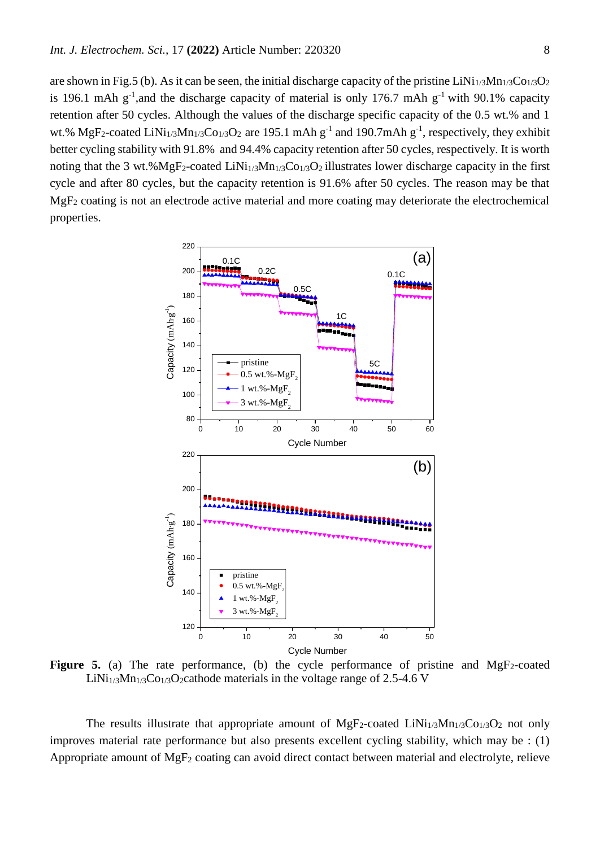are shown in Fig.5 (b). As it can be seen, the initial discharge capacity of the pristine  $LiNi<sub>1/3</sub>Mn<sub>1/3</sub>Co<sub>1/3</sub>O<sub>2</sub>$ is 196.1 mAh  $g^{-1}$ , and the discharge capacity of material is only 176.7 mAh  $g^{-1}$  with 90.1% capacity retention after 50 cycles. Although the values of the discharge specific capacity of the 0.5 wt.% and 1 wt.% MgF<sub>2</sub>-coated LiNi<sub>1/3</sub>Mn<sub>1/3</sub>Co<sub>1/3</sub>O<sub>2</sub> are 195.1 mAh  $g^{-1}$  and 190.7mAh  $g^{-1}$ , respectively, they exhibit better cycling stability with 91.8% and 94.4% capacity retention after 50 cycles, respectively. It is worth noting that the 3 wt.%MgF<sub>2</sub>-coated LiNi<sub>1/3</sub>Mn<sub>1/3</sub>Co<sub>1/3</sub>O<sub>2</sub> illustrates lower discharge capacity in the first cycle and after 80 cycles, but the capacity retention is 91.6% after 50 cycles. The reason may be that MgF<sup>2</sup> coating is not an electrode active material and more coating may deteriorate the electrochemical properties.



**Figure 5.** (a) The rate performance, (b) the cycle performance of pristine and  $MgF_2$ -coated LiNi<sub>1/3</sub>Mn<sub>1/3</sub>Co<sub>1/3</sub>O<sub>2</sub>cathode materials in the voltage range of 2.5-4.6 V

The results illustrate that appropriate amount of  $MgF_2$ -coated LiNi<sub>1/3</sub>Mn<sub>1/3</sub>Co<sub>1/3</sub>O<sub>2</sub> not only improves material rate performance but also presents excellent cycling stability, which may be : (1) Appropriate amount of MgF<sup>2</sup> coating can avoid direct contact between material and electrolyte, relieve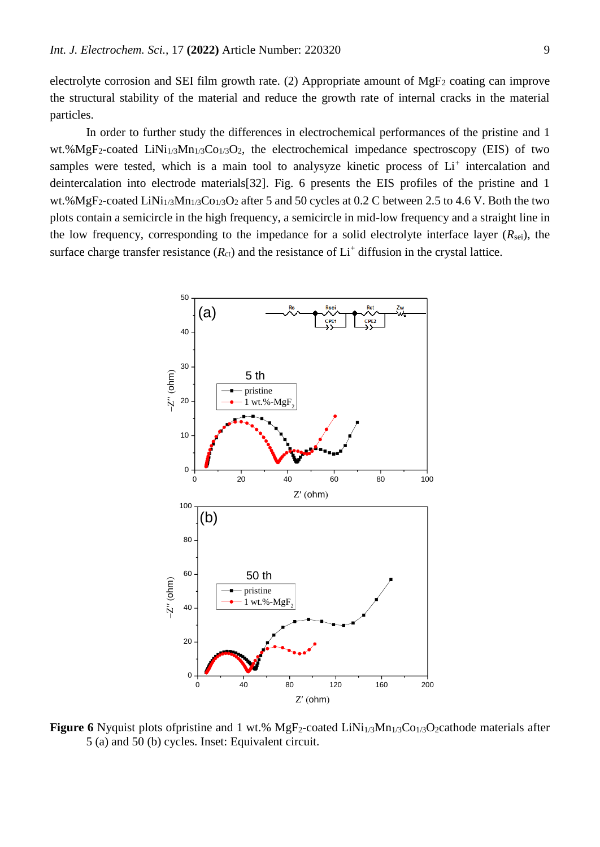electrolyte corrosion and SEI film growth rate. (2) Appropriate amount of  $MgF_2$  coating can improve the structural stability of the material and reduce the growth rate of internal cracks in the material particles.

In order to further study the differences in electrochemical performances of the pristine and 1 wt.%MgF<sub>2</sub>-coated LiNi<sub>1/3</sub>Mn<sub>1/3</sub>Co<sub>1/3</sub>O<sub>2</sub>, the electrochemical impedance spectroscopy (EIS) of two samples were tested, which is a main tool to analysyze kinetic process of Li<sup>+</sup> intercalation and deintercalation into electrode materials[32]. Fig. 6 presents the EIS profiles of the pristine and 1 wt.%MgF<sub>2</sub>-coated LiNi<sub>1/3</sub>Mn<sub>1/3</sub>Co<sub>1/3</sub>O<sub>2</sub> after 5 and 50 cycles at 0.2 C between 2.5 to 4.6 V. Both the two plots contain a semicircle in the high frequency, a semicircle in mid-low frequency and a straight line in the low frequency, corresponding to the impedance for a solid electrolyte interface layer  $(R_{\text{sei}})$ , the surface charge transfer resistance  $(R_{ct})$  and the resistance of  $Li<sup>+</sup>$  diffusion in the crystal lattice.



**Figure 6** Nyquist plots of pristine and 1 wt.% MgF<sub>2</sub>-coated LiNi<sub>1/3</sub>Mn<sub>1/3</sub>Co<sub>1/3</sub>O<sub>2</sub>cathode materials after 5 (a) and 50 (b) cycles. Inset: Equivalent circuit.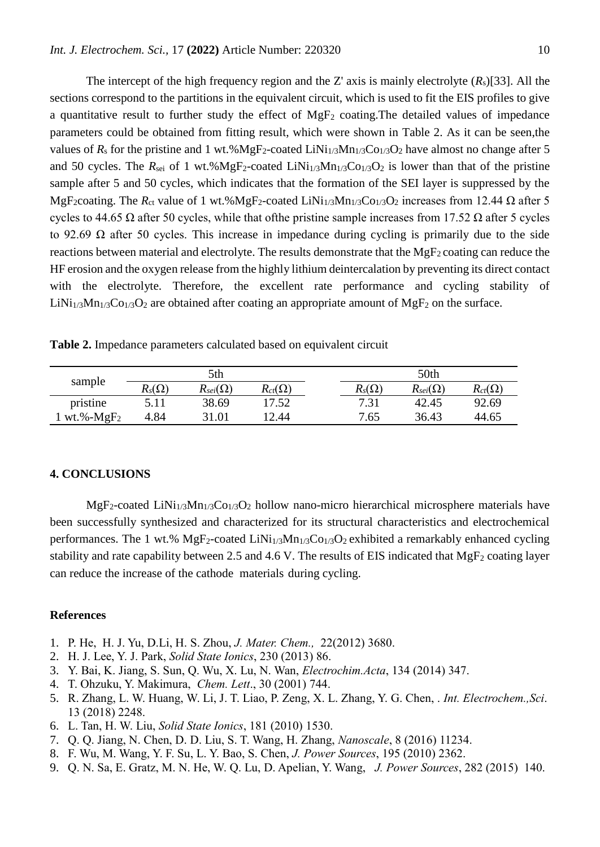The intercept of the high frequency region and the Z' axis is mainly electrolyte  $(R_s)[33]$ . All the sections correspond to the partitions in the equivalent circuit, which is used to fit the EIS profiles to give a quantitative result to further study the effect of  $MgF_2$  coating. The detailed values of impedance parameters could be obtained from fitting result, which were shown in Table 2. As it can be seen,the values of  $R_s$  for the pristine and 1 wt.%MgF<sub>2</sub>-coated LiNi<sub>1/3</sub>Mn<sub>1/3</sub>Co<sub>1/3</sub>O<sub>2</sub> have almost no change after 5 and 50 cycles. The  $R_{\text{sei}}$  of 1 wt.%MgF<sub>2</sub>-coated LiNi<sub>1/3</sub>Mn<sub>1/3</sub>Co<sub>1/3</sub>O<sub>2</sub> is lower than that of the pristine sample after 5 and 50 cycles, which indicates that the formation of the SEI layer is suppressed by the MgF<sub>2</sub>coating. The  $R_{ct}$  value of 1 wt.%MgF<sub>2</sub>-coated LiNi<sub>1/3</sub>Mn<sub>1/3</sub>Co<sub>1/3</sub>O<sub>2</sub> increases from 12.44  $\Omega$  after 5 cycles to 44.65  $\Omega$  after 50 cycles, while that of the pristine sample increases from 17.52  $\Omega$  after 5 cycles to 92.69 Ω after 50 cycles. This increase in impedance during cycling is primarily due to the side reactions between material and electrolyte. The results demonstrate that the  $MgF_2$  coating can reduce the HF erosion and the oxygen release from the highly lithium deintercalation by preventing its direct contact with the electrolyte. Therefore, the excellent rate performance and cycling stability of LiNi<sub>1/3</sub>Mn<sub>1/3</sub>Co<sub>1/3</sub>O<sub>2</sub> are obtained after coating an appropriate amount of MgF<sub>2</sub> on the surface.

**Table 2.** Impedance parameters calculated based on equivalent circuit

| sample        | 5th           |                   |                  | 50th          |                   |                  |  |
|---------------|---------------|-------------------|------------------|---------------|-------------------|------------------|--|
|               | $R_s(\Omega)$ | $R_{sei}(\Omega)$ | $R_{ct}(\Omega)$ | $R_s(\Omega)$ | $R_{sei}(\Omega)$ | $R_{ct}(\Omega)$ |  |
| pristine      |               | 38.69             | 17.52            | 7.31          | 42.45             | 92.69            |  |
| wt.%- $MgF_2$ | 4.84          | 31.01             | 2.44             | 7.65          | 36.43             | 44.65            |  |

## **4. CONCLUSIONS**

 $MgF_2$ -coated LiNi<sub>1/3</sub>Mn<sub>1/3</sub>Co<sub>1/3</sub>O<sub>2</sub> hollow nano-micro hierarchical microsphere materials have been successfully synthesized and characterized for its structural characteristics and electrochemical performances. The 1 wt.%  $MgF_2$ -coated LiNi<sub>1/3</sub>Mn<sub>1/3</sub>Co<sub>1/3</sub>O<sub>2</sub> exhibited a remarkably enhanced cycling stability and rate capability between 2.5 and 4.6 V. The results of EIS indicated that  $MgF_2$  coating layer can reduce the increase of the cathode materials during cycling.

#### **References**

- 1. P. He, H. J. Yu, D.Li, H. S. Zhou, *J. Mater. Chem.,* 22(2012) 3680.
- 2. H. J. Lee, Y. J. Park, *Solid State Ionics*, 230 (2013) 86.
- 3. Y. Bai, K. Jiang, S. Sun, Q. Wu, X. Lu, N. Wan, *Electrochim.Acta*, 134 (2014) 347.
- 4. T. Ohzuku, Y. Makimura, *Chem. Lett*., 30 (2001) 744.
- 5. R. Zhang, L. W. Huang, W. Li, J. T. Liao, P. Zeng, X. L. Zhang, Y. G. Chen, . *Int. Electrochem.,Sci*. 13 (2018) 2248.
- 6. L. Tan, H. W. Liu, *Solid State Ionics*, 181 (2010) 1530.
- 7. Q. Q. Jiang, N. Chen, D. D. Liu, S. T. Wang, H. Zhang, *Nanoscale*, 8 (2016) 11234.
- 8. F. Wu, M. Wang, Y. F. Su, L. Y. Bao, S. Chen, *J. Power Sources*, 195 (2010) 2362.
- 9. Q. N. Sa, E. Gratz, M. N. He, W. Q. Lu, D. Apelian, Y. Wang, *J. Power Sources*, 282 (2015) 140.